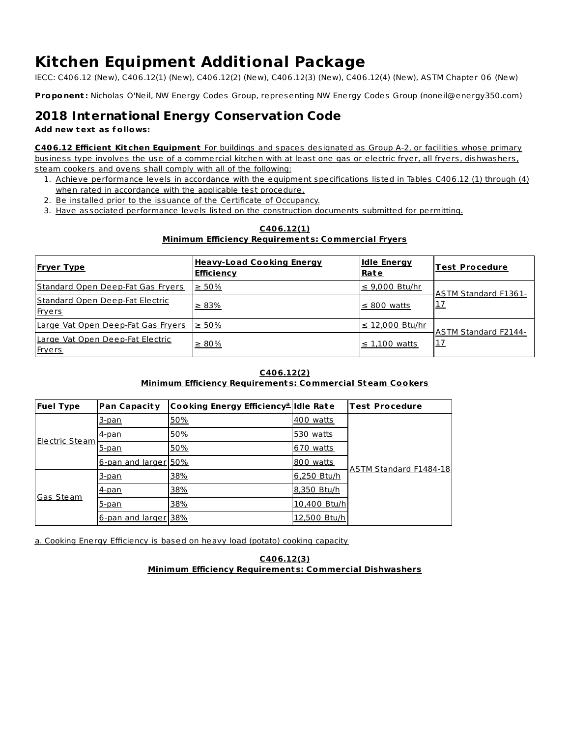# **Kitchen Equipment Additional Package**

IECC: C406.12 (New), C406.12(1) (New), C406.12(2) (New), C406.12(3) (New), C406.12(4) (New), ASTM Chapter 06 (New)

**Proponent :** Nicholas O'Neil, NW Energy Codes Group, representing NW Energy Codes Group (noneil@energy350.com)

## **2018 International Energy Conservation Code**

#### **Add new text as f ollows:**

**C406.12 Efficient Kit chen Equipment** For buildings and spaces designated as Group A-2, or facilities whose primary business type involves the use of a commercial kitchen with at least one gas or electric fryer, all fryers, dishwashers, steam cookers and ovens shall comply with all of the following:

- 1. Achieve performance levels in accordance with the equipment specifications listed in Tables C406.12 (1) through (4) when rated in accordance with the applicable test procedure.
- 2. Be installed prior to the issuance of the Certificate of Occupancy.
- 3. Have associated performance levels listed on the construction documents submitted for permitting.

#### **C406.12(1) Minimum Efficiency Requirement s: Commercial Fryers**

| <b>Fryer Type</b>                                 | <b>Heavy-Load Cooking Energy</b><br><b>Efficiency</b> | <b>Idle Energy</b><br><u>Rate</u> | <b>Test Procedure</b>       |
|---------------------------------------------------|-------------------------------------------------------|-----------------------------------|-----------------------------|
| Standard Open Deep-Fat Gas Fryers                 | $\geq 50\%$                                           | $\leq$ 9,000 Btu/hr               | <b>ASTM Standard F1361-</b> |
| Standard Open Deep-Fat Electric<br>Fryers         | $\geq 83\%$                                           | $\leq$ 800 watts                  | <u> 17</u>                  |
| Large Vat Open Deep-Fat Gas Fryers                | $\geq 50\%$                                           | $\leq$ 12,000 Btu/hr              | <b>ASTM Standard F2144-</b> |
| Large Vat Open Deep-Fat Electric<br><b>Fryers</b> | $\geq 80\%$                                           | $\leq$ 1,100 watts                | 17                          |

### **C406.12(2)**

### **Minimum Efficiency Requirement s: Commercial Steam Cookers**

| <b>Fuel Type</b> | <b>Pan Capacity</b>  | Cooking Energy Efficiency <sup>a</sup> ldle Rate |              | <b>Test Procedure</b>  |
|------------------|----------------------|--------------------------------------------------|--------------|------------------------|
| Electric Steam   | 3-pan                | 50%                                              | 400 watts    |                        |
|                  | 4-pan                | 50%                                              | 530 watts    |                        |
|                  | 5-pan                | 50%                                              | 670 watts    |                        |
|                  | 6-pan and larger 50% |                                                  | 800 watts    | ASTM Standard F1484-18 |
| Gas Steam        | 3-pan                | 38%                                              | 6,250 Btu/h  |                        |
|                  | 4-pan                | 38%                                              | 8,350 Btu/h  |                        |
|                  | 5-pan                | 38%                                              | 10,400 Btu/h |                        |
|                  | 6-pan and larger 38% |                                                  | 12,500 Btu/h |                        |

a. Cooking Energy Efficiency is based on heavy load (potato) cooking capacity

**C406.12(3) Minimum Efficiency Requirement s: Commercial Dishwashers**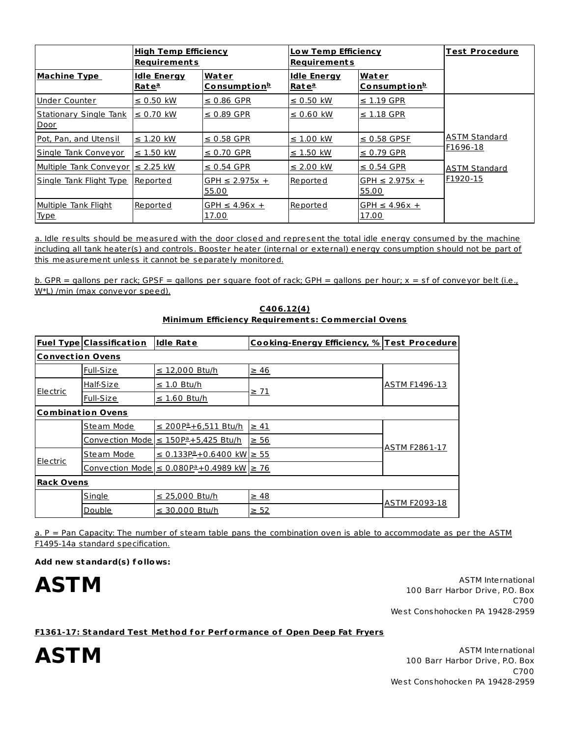|                                | <u> High Temp Efficiency</u><br><b>Requirements</b> |                                   | Low Temp Efficiency<br>Requirements     |                              | <b>Test Procedure</b> |
|--------------------------------|-----------------------------------------------------|-----------------------------------|-----------------------------------------|------------------------------|-----------------------|
| <b>Machine Type</b>            | <b>Idle Energy</b><br>Rate <sup>a</sup>             | Water<br>Consumption <sup>b</sup> | <b>Idle Energy</b><br>Rate <sup>a</sup> | Water<br><u>Consumptionb</u> |                       |
| Under Counter                  | $\leq$ 0.50 kW                                      | $\leq$ 0.86 GPR                   | $\leq$ 0.50 kW                          | $\leq$ 1.19 GPR              |                       |
| Stationary Single Tank<br>Door | $\leq$ 0.70 kW                                      | $\leq$ 0.89 GPR                   | $\leq$ 0.60 kW                          | $\leq$ 1.18 GPR              |                       |
| Pot, Pan, and Utensil          | $\leq$ 1.20 kW                                      | $\leq$ 0.58 GPR                   | $\leq$ 1.00 kW                          | $\leq$ 0.58 GPSF             | <b>ASTM Standard</b>  |
| Single Tank Conveyor           | $\leq$ 1.50 kW                                      | $\leq$ 0.70 GPR                   | $\leq$ 1.50 kW                          | $\leq$ 0.79 GPR              | F1696-18              |
| Multiple Tank Conveyor         | $\leq$ 2.25 kW                                      | $\leq$ 0.54 GPR                   | $\leq$ 2.00 kW                          | $\leq$ 0.54 GPR              | <b>ASTM Standard</b>  |
| Single Tank Flight Type        | Reported                                            | $GPH \le 2.975x +$<br>55.00       | Reported                                | $GPH \leq 2.975x +$<br>55.00 | F1920-15              |
| Multiple Tank Flight<br>Type   | Reported                                            | GPH $\leq$ 4.96 $x$ +<br>17.00    | Reported                                | GPH $\leq$ 4.96x +<br>17.00  |                       |

a. Idle results should be measured with the door closed and represent the total idle energy consumed by the machine including all tank heater(s) and controls. Booster heater (internal or external) energy consumption should not be part of this measurement unless it cannot be separately monitored.

b. GPR = gallons per rack; GPSF = gallons per square foot of rack; GPH = gallons per hour;  $x = sf$  of conveyor belt (i.e., W<sup>\*</sup>L) /min (max conveyor speed).

|                          | <u>Fuel Type Classification</u> | <b>Idle Rate</b>                                            | Cooking-Energy Efficiency, % Test Procedure |                      |  |  |
|--------------------------|---------------------------------|-------------------------------------------------------------|---------------------------------------------|----------------------|--|--|
|                          | <b>Convection Ovens</b>         |                                                             |                                             |                      |  |  |
|                          | Full-Size                       | $\leq$ 12,000 Btu/h                                         | $\geq 46$                                   |                      |  |  |
|                          | Half-Size                       | $\leq$ 1.0 Btu/h                                            | <u>≥ 71</u>                                 | <b>ASTM F1496-13</b> |  |  |
| <b>Electric</b>          | Full-Size                       | $\leq$ 1.60 Btu/h                                           |                                             |                      |  |  |
| <b>Combination Ovens</b> |                                 |                                                             |                                             |                      |  |  |
|                          | Steam Mode                      | ≤ 200P <sup>a</sup> +6,511 Btu/h                            | $\geq 41$                                   |                      |  |  |
|                          | <b>Convection Mode</b>          | ≤ 150 P <sup>a</sup> +5,425 Btu/h                           | $\geq$ 56                                   | ASTM F2861-17        |  |  |
| <b>Electric</b>          | Steam Mode                      | $\underline{\leq}$ 0.133P <sup>a</sup> +0.6400 kW $\geq$ 55 |                                             |                      |  |  |
|                          | <b>Convection Mode</b>          | ≤ 0.080 P <sup>a</sup> +0.4989 kW $\geq 76$                 |                                             |                      |  |  |
| <b>Rack Ovens</b>        |                                 |                                                             |                                             |                      |  |  |
|                          | Single                          | ≤ 25,000 Btu/h                                              | $\geq 48$                                   | ASTM F2093-18        |  |  |
|                          | Double                          | ≤ 30,000 Btu/h                                              | $\geq 52$                                   |                      |  |  |

**C406.12(4) Minimum Efficiency Requirement s: Commercial Ovens**

a. P = Pan Capacity: The number of steam table pans the combination oven is able to accommodate as per the ASTM F1495-14a standard specification.

**Add new standard(s) f ollows:**

AST M<br>100 Barr Harbor Drive, P.O. Box C700 West Conshohocken PA 19428-2959

**F1361-17: Standard Test Met hod f or Perf ormance of Open Deep Fat Fryers**

AST M<br>100 Barr Harbor Drive, P.O. Box C700 West Conshohocken PA 19428-2959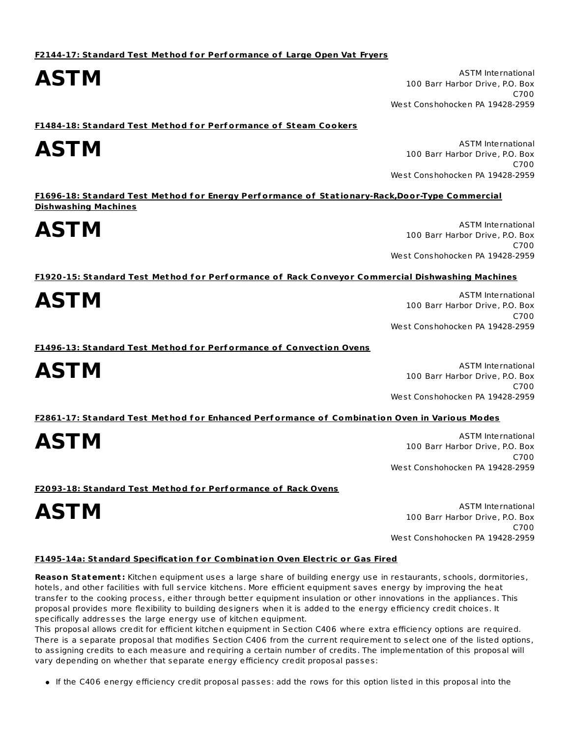**AST M** ASTM International AST **M** ASTM International AST **M** ASTM International AST M 100 Barr Harbor Drive, P.O. Box C700 West Conshohocken PA 19428-2959

**F1484-18: Standard Test Met hod f or Perf ormance of Steam Cookers**

**AST M** ASTM International AST **M** ASTM International AST **M** ASTM International AST M 100 Barr Harbor Drive, P.O. Box C700 West Conshohocken PA 19428-2959

**F1696-18: Standard Test Met hod f or Energy Perf ormance of Stat ionary-Rack,Door-Type Commercial Dishwashing Machines**

**AST M** ASTM International AST **M** ASTM International AST **M** ASTM International AST M 100 Barr Harbor Drive, P.O. Box C700 West Conshohocken PA 19428-2959

**F1920-15: Standard Test Met hod f or Perf ormance of Rack Conveyor Commercial Dishwashing Machines**

AST M<br>100 Barr Harbor Drive, P.O. Box C700 West Conshohocken PA 19428-2959

**F1496-13: Standard Test Met hod f or Perf ormance of Convect ion Ovens**

**AST M** ASTM International AST **M** ASTM International AST **M** ASTM International AST M 100 Barr Harbor Drive, P.O. Box C700 West Conshohocken PA 19428-2959

**F2861-17: Standard Test Met hod f or Enhanced Perf ormance of Combinat ion Oven in Various Modes**

**AST M** ASTM International AST **M** ASTM International AST **M** ASTM International AST M 100 Barr Harbor Drive, P.O. Box C700 West Conshohocken PA 19428-2959

**F2093-18: Standard Test Met hod f or Perf ormance of Rack Ovens**

AST M<br>100 Barr Harbor Drive, P.O. Box C700 West Conshohocken PA 19428-2959

#### **F1495-14a: Standard Specificat ion f or Combinat ion Oven Elect ric or Gas Fired**

**Reason Statement :** Kitchen equipment uses a large share of building energy use in restaurants, schools, dormitories, hotels, and other facilities with full service kitchens. More efficient equipment saves energy by improving the heat transfer to the cooking process, either through better equipment insulation or other innovations in the appliances. This proposal provides more flexibility to building designers when it is added to the energy efficiency credit choices. It specifically addresses the large energy use of kitchen equipment.

This proposal allows credit for efficient kitchen equipment in Section C406 where extra efficiency options are required. There is a separate proposal that modifies Section C406 from the current requirement to select one of the listed options, to assigning credits to each measure and requiring a certain number of credits. The implementation of this proposal will vary depending on whether that separate energy efficiency credit proposal passes:

If the C406 energy efficiency credit proposal passes: add the rows for this option listed in this proposal into the